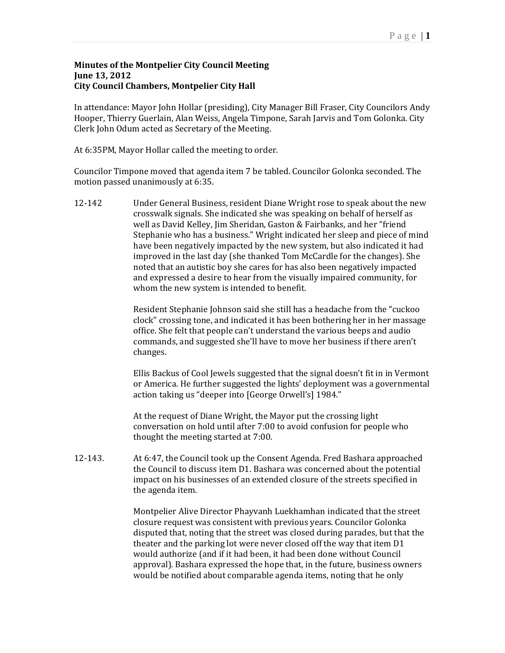## **Minutes of the Montpelier City Council Meeting June 13, 2012 City Council Chambers, Montpelier City Hall**

In attendance: Mayor John Hollar (presiding), City Manager Bill Fraser, City Councilors Andy Hooper, Thierry Guerlain, Alan Weiss, Angela Timpone, Sarah Jarvis and Tom Golonka. City Clerk John Odum acted as Secretary of the Meeting.

At 6:35PM, Mayor Hollar called the meeting to order.

Councilor Timpone moved that agenda item 7 be tabled. Councilor Golonka seconded. The motion passed unanimously at 6:35.

12-142 Under General Business, resident Diane Wright rose to speak about the new crosswalk signals. She indicated she was speaking on behalf of herself as well as David Kelley, Jim Sheridan, Gaston & Fairbanks, and her "friend Stephanie who has a business." Wright indicated her sleep and piece of mind have been negatively impacted by the new system, but also indicated it had improved in the last day (she thanked Tom McCardle for the changes). She noted that an autistic boy she cares for has also been negatively impacted and expressed a desire to hear from the visually impaired community, for whom the new system is intended to benefit.

> Resident Stephanie Johnson said she still has a headache from the "cuckoo" clock" crossing tone, and indicated it has been bothering her in her massage office. She felt that people can't understand the various beeps and audio commands, and suggested she'll have to move her business if there aren't changes.

Ellis Backus of Cool Jewels suggested that the signal doesn't fit in in Vermont or America. He further suggested the lights' deployment was a governmental action taking us "deeper into [George Orwell's] 1984."

At the request of Diane Wright, the Mayor put the crossing light conversation on hold until after 7:00 to avoid confusion for people who thought the meeting started at 7:00.

12-143. At 6:47, the Council took up the Consent Agenda. Fred Bashara approached the Council to discuss item D1. Bashara was concerned about the potential impact on his businesses of an extended closure of the streets specified in the agenda item.

> Montpelier Alive Director Phayvanh Luekhamhan indicated that the street closure request was consistent with previous years. Councilor Golonka disputed that, noting that the street was closed during parades, but that the theater and the parking lot were never closed off the way that item D1 would authorize (and if it had been, it had been done without Council approval). Bashara expressed the hope that, in the future, business owners would be notified about comparable agenda items, noting that he only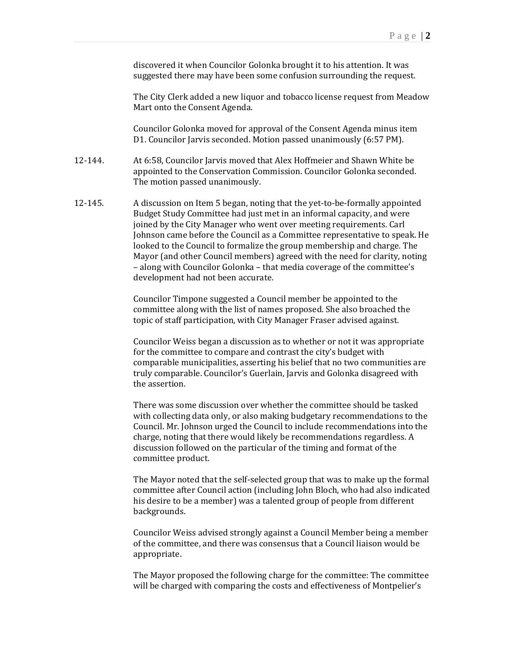discovered it when Councilor Golonka brought it to his attention. It was suggested there may have been some confusion surrounding the request.

The City Clerk added a new liquor and tobacco license request from Meadow Mart onto the Consent Agenda.

Councilor Golonka moved for approval of the Consent Agenda minus item D1. Councilor Jarvis seconded. Motion passed unanimously (6:57 PM).

- 12-144. At 6:58, Councilor Jarvis moved that Alex Hoffmeier and Shawn White be appointed to the Conservation Commission. Councilor Golonka seconded. The motion passed unanimously.
- 12-145. A discussion on Item 5 began, noting that the yet-to-be-formally appointed Budget Study Committee had just met in an informal capacity, and were joined by the City Manager who went over meeting requirements. Carl Johnson came before the Council as a Committee representative to speak. He looked to the Council to formalize the group membership and charge. The Mayor (and other Council members) agreed with the need for clarity, noting - along with Councilor Golonka - that media coverage of the committee's development had not been accurate.

Councilor Timpone suggested a Council member be appointed to the committee along with the list of names proposed. She also broached the topic of staff participation, with City Manager Fraser advised against.

Councilor Weiss began a discussion as to whether or not it was appropriate for the committee to compare and contrast the city's budget with comparable municipalities, asserting his belief that no two communities are truly comparable. Councilor's Guerlain, Jarvis and Golonka disagreed with the assertion.

There was some discussion over whether the committee should be tasked with collecting data only, or also making budgetary recommendations to the Council. Mr. Johnson urged the Council to include recommendations into the charge, noting that there would likely be recommendations regardless. A discussion followed on the particular of the timing and format of the committee product.

The Mayor noted that the self-selected group that was to make up the formal committee after Council action (including John Bloch, who had also indicated his desire to be a member) was a talented group of people from different backgrounds. 

Councilor Weiss advised strongly against a Council Member being a member of the committee, and there was consensus that a Council liaison would be appropriate. 

The Mayor proposed the following charge for the committee: The committee will be charged with comparing the costs and effectiveness of Montpelier's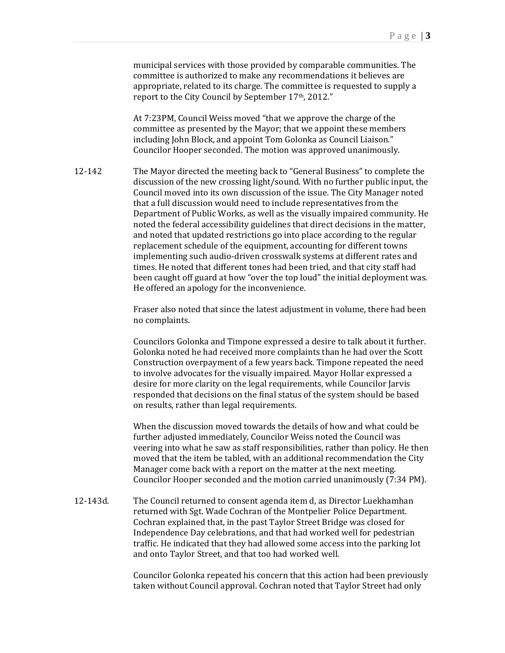municipal services with those provided by comparable communities. The committee is authorized to make any recommendations it believes are appropriate, related to its charge. The committee is requested to supply a report to the City Council by September 17th, 2012."

At 7:23PM, Council Weiss moved "that we approve the charge of the committee as presented by the Mayor; that we appoint these members including John Block, and appoint Tom Golonka as Council Liaison." Councilor Hooper seconded. The motion was approved unanimously.

12-142 The Mayor directed the meeting back to "General Business" to complete the discussion of the new crossing light/sound. With no further public input, the Council moved into its own discussion of the issue. The City Manager noted that a full discussion would need to include representatives from the Department of Public Works, as well as the visually impaired community. He noted the federal accessibility guidelines that direct decisions in the matter, and noted that updated restrictions go into place according to the regular replacement schedule of the equipment, accounting for different towns implementing such audio-driven crosswalk systems at different rates and times. He noted that different tones had been tried, and that city staff had been caught off guard at how "over the top loud" the initial deployment was. He offered an apology for the inconvenience.

> Fraser also noted that since the latest adjustment in volume, there had been no complaints.

> Councilors Golonka and Timpone expressed a desire to talk about it further. Golonka noted he had received more complaints than he had over the Scott Construction overpayment of a few years back. Timpone repeated the need to involve advocates for the visually impaired. Mayor Hollar expressed a desire for more clarity on the legal requirements, while Councilor Jarvis responded that decisions on the final status of the system should be based on results, rather than legal requirements.

When the discussion moved towards the details of how and what could be further adjusted immediately, Councilor Weiss noted the Council was veering into what he saw as staff responsibilities, rather than policy. He then moved that the item be tabled, with an additional recommendation the City Manager come back with a report on the matter at the next meeting. Councilor Hooper seconded and the motion carried unanimously (7:34 PM).

12-143d. The Council returned to consent agenda item d, as Director Luekhamhan returned with Sgt. Wade Cochran of the Montpelier Police Department. Cochran explained that, in the past Taylor Street Bridge was closed for Independence Day celebrations, and that had worked well for pedestrian traffic. He indicated that they had allowed some access into the parking lot and onto Taylor Street, and that too had worked well.

> Councilor Golonka repeated his concern that this action had been previously taken without Council approval. Cochran noted that Taylor Street had only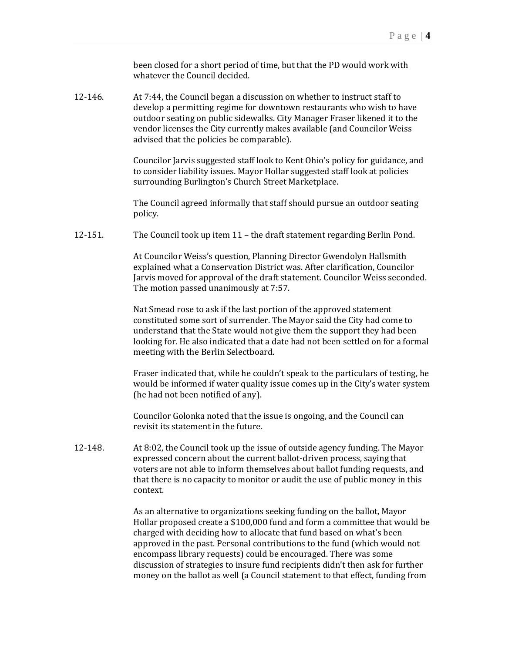been closed for a short period of time, but that the PD would work with whatever the Council decided.

12-146. At 7:44, the Council began a discussion on whether to instruct staff to develop a permitting regime for downtown restaurants who wish to have outdoor seating on public sidewalks. City Manager Fraser likened it to the vendor licenses the City currently makes available (and Councilor Weiss advised that the policies be comparable).

> Councilor Jarvis suggested staff look to Kent Ohio's policy for guidance, and to consider liability issues. Mayor Hollar suggested staff look at policies surrounding Burlington's Church Street Marketplace.

The Council agreed informally that staff should pursue an outdoor seating policy. 

12-151. The Council took up item 11 – the draft statement regarding Berlin Pond.

At Councilor Weiss's question, Planning Director Gwendolyn Hallsmith explained what a Conservation District was. After clarification, Councilor Jarvis moved for approval of the draft statement. Councilor Weiss seconded. The motion passed unanimously at 7:57.

Nat Smead rose to ask if the last portion of the approved statement constituted some sort of surrender. The Mayor said the City had come to understand that the State would not give them the support they had been looking for. He also indicated that a date had not been settled on for a formal meeting with the Berlin Selectboard.

Fraser indicated that, while he couldn't speak to the particulars of testing, he would be informed if water quality issue comes up in the City's water system (he had not been notified of any).

Councilor Golonka noted that the issue is ongoing, and the Council can revisit its statement in the future.

12-148. At 8:02, the Council took up the issue of outside agency funding. The Mayor expressed concern about the current ballot-driven process, saying that voters are not able to inform themselves about ballot funding requests, and that there is no capacity to monitor or audit the use of public money in this context. 

> As an alternative to organizations seeking funding on the ballot, Mayor Hollar proposed create a  $$100,000$  fund and form a committee that would be charged with deciding how to allocate that fund based on what's been approved in the past. Personal contributions to the fund (which would not encompass library requests) could be encouraged. There was some discussion of strategies to insure fund recipients didn't then ask for further money on the ballot as well (a Council statement to that effect, funding from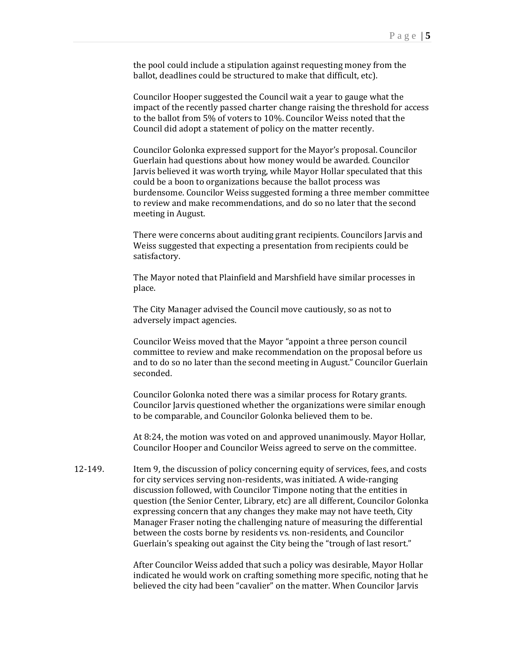the pool could include a stipulation against requesting money from the ballot, deadlines could be structured to make that difficult, etc).

Councilor Hooper suggested the Council wait a year to gauge what the impact of the recently passed charter change raising the threshold for access to the ballot from 5% of voters to 10%. Councilor Weiss noted that the Council did adopt a statement of policy on the matter recently.

Councilor Golonka expressed support for the Mayor's proposal. Councilor Guerlain had questions about how money would be awarded. Councilor Jarvis believed it was worth trying, while Mayor Hollar speculated that this could be a boon to organizations because the ballot process was burdensome. Councilor Weiss suggested forming a three member committee to review and make recommendations, and do so no later that the second meeting in August.

There were concerns about auditing grant recipients. Councilors Jarvis and Weiss suggested that expecting a presentation from recipients could be satisfactory. 

The Mayor noted that Plainfield and Marshfield have similar processes in place. 

The City Manager advised the Council move cautiously, so as not to adversely impact agencies.

Councilor Weiss moved that the Mayor "appoint a three person council committee to review and make recommendation on the proposal before us and to do so no later than the second meeting in August." Councilor Guerlain seconded. 

Councilor Golonka noted there was a similar process for Rotary grants. Councilor Jarvis questioned whether the organizations were similar enough to be comparable, and Councilor Golonka believed them to be.

At 8:24, the motion was voted on and approved unanimously. Mayor Hollar, Councilor Hooper and Councilor Weiss agreed to serve on the committee.

12-149. Item 9, the discussion of policy concerning equity of services, fees, and costs for city services serving non-residents, was initiated. A wide-ranging discussion followed, with Councilor Timpone noting that the entities in question (the Senior Center, Library, etc) are all different, Councilor Golonka expressing concern that any changes they make may not have teeth, City Manager Fraser noting the challenging nature of measuring the differential between the costs borne by residents vs. non-residents, and Councilor Guerlain's speaking out against the City being the "trough of last resort."

> After Councilor Weiss added that such a policy was desirable, Mayor Hollar indicated he would work on crafting something more specific, noting that he believed the city had been "cavalier" on the matter. When Councilor Jarvis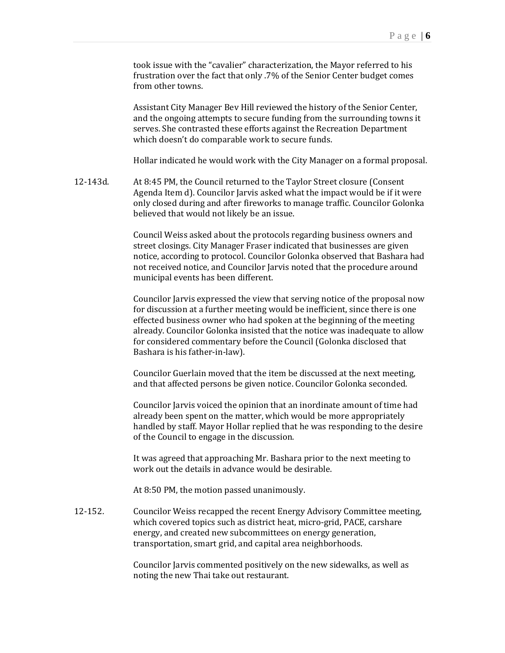took issue with the "cavalier" characterization, the Mayor referred to his frustration over the fact that only .7% of the Senior Center budget comes from other towns.

Assistant City Manager Bev Hill reviewed the history of the Senior Center, and the ongoing attempts to secure funding from the surrounding towns it serves. She contrasted these efforts against the Recreation Department which doesn't do comparable work to secure funds.

Hollar indicated he would work with the City Manager on a formal proposal.

12-143d. At 8:45 PM, the Council returned to the Taylor Street closure (Consent Agenda Item d). Councilor Jarvis asked what the impact would be if it were only closed during and after fireworks to manage traffic. Councilor Golonka believed that would not likely be an issue.

> Council Weiss asked about the protocols regarding business owners and street closings. City Manager Fraser indicated that businesses are given notice, according to protocol. Councilor Golonka observed that Bashara had not received notice, and Councilor Jarvis noted that the procedure around municipal events has been different.

> Councilor Jarvis expressed the view that serving notice of the proposal now for discussion at a further meeting would be inefficient, since there is one effected business owner who had spoken at the beginning of the meeting already. Councilor Golonka insisted that the notice was inadequate to allow for considered commentary before the Council (Golonka disclosed that Bashara is his father-in-law).

Councilor Guerlain moved that the item be discussed at the next meeting, and that affected persons be given notice. Councilor Golonka seconded.

Councilor Jarvis voiced the opinion that an inordinate amount of time had already been spent on the matter, which would be more appropriately handled by staff. Mayor Hollar replied that he was responding to the desire of the Council to engage in the discussion.

It was agreed that approaching Mr. Bashara prior to the next meeting to work out the details in advance would be desirable.

At 8:50 PM, the motion passed unanimously.

12-152. Councilor Weiss recapped the recent Energy Advisory Committee meeting, which covered topics such as district heat, micro-grid, PACE, carshare energy, and created new subcommittees on energy generation, transportation, smart grid, and capital area neighborhoods.

> Councilor Jarvis commented positively on the new sidewalks, as well as noting the new Thai take out restaurant.